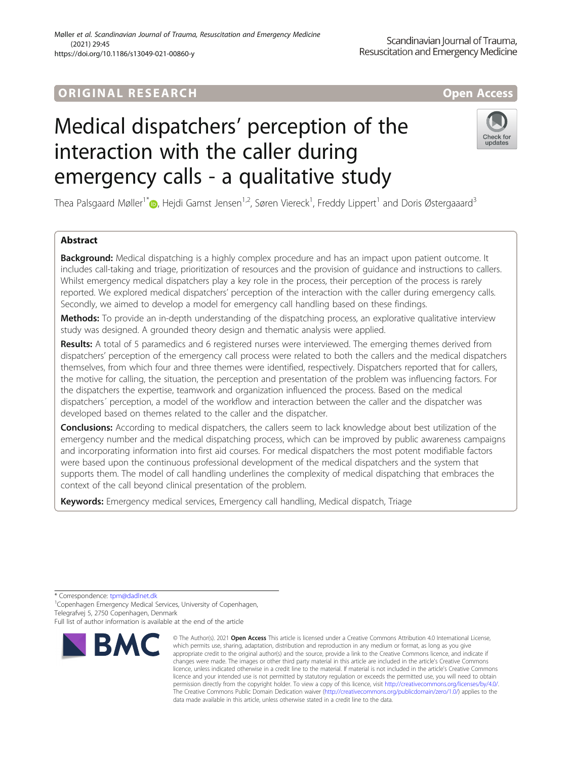# ORIGINA L R E S EA RCH Open Access

# Medical dispatchers' perception of the interaction with the caller during emergency calls - a qualitative study



Thea Palsgaard Møller<sup>1[\\*](http://orcid.org/0000-0001-7658-2447)</sup>�, Hejdi Gamst Jensen<sup>1,2</sup>, Søren Viereck<sup>1</sup>, Freddy Lippert<sup>1</sup> and Doris Østergaaard<sup>3</sup>

# Abstract

**Background:** Medical dispatching is a highly complex procedure and has an impact upon patient outcome. It includes call-taking and triage, prioritization of resources and the provision of guidance and instructions to callers. Whilst emergency medical dispatchers play a key role in the process, their perception of the process is rarely reported. We explored medical dispatchers' perception of the interaction with the caller during emergency calls. Secondly, we aimed to develop a model for emergency call handling based on these findings.

Methods: To provide an in-depth understanding of the dispatching process, an explorative qualitative interview study was designed. A grounded theory design and thematic analysis were applied.

Results: A total of 5 paramedics and 6 registered nurses were interviewed. The emerging themes derived from dispatchers' perception of the emergency call process were related to both the callers and the medical dispatchers themselves, from which four and three themes were identified, respectively. Dispatchers reported that for callers, the motive for calling, the situation, the perception and presentation of the problem was influencing factors. For the dispatchers the expertise, teamwork and organization influenced the process. Based on the medical dispatchers´ perception, a model of the workflow and interaction between the caller and the dispatcher was developed based on themes related to the caller and the dispatcher.

**Conclusions:** According to medical dispatchers, the callers seem to lack knowledge about best utilization of the emergency number and the medical dispatching process, which can be improved by public awareness campaigns and incorporating information into first aid courses. For medical dispatchers the most potent modifiable factors were based upon the continuous professional development of the medical dispatchers and the system that supports them. The model of call handling underlines the complexity of medical dispatching that embraces the context of the call beyond clinical presentation of the problem.

Keywords: Emergency medical services, Emergency call handling, Medical dispatch, Triage

\* Correspondence: [tpm@dadlnet.dk](mailto:tpm@dadlnet.dk) <sup>1</sup>

<sup>1</sup> Copenhagen Emergency Medical Services, University of Copenhagen, Telegrafvej 5, 2750 Copenhagen, Denmark

Full list of author information is available at the end of the article



<sup>©</sup> The Author(s), 2021 **Open Access** This article is licensed under a Creative Commons Attribution 4.0 International License, which permits use, sharing, adaptation, distribution and reproduction in any medium or format, as long as you give appropriate credit to the original author(s) and the source, provide a link to the Creative Commons licence, and indicate if changes were made. The images or other third party material in this article are included in the article's Creative Commons licence, unless indicated otherwise in a credit line to the material. If material is not included in the article's Creative Commons licence and your intended use is not permitted by statutory regulation or exceeds the permitted use, you will need to obtain permission directly from the copyright holder. To view a copy of this licence, visit [http://creativecommons.org/licenses/by/4.0/.](http://creativecommons.org/licenses/by/4.0/) The Creative Commons Public Domain Dedication waiver [\(http://creativecommons.org/publicdomain/zero/1.0/](http://creativecommons.org/publicdomain/zero/1.0/)) applies to the data made available in this article, unless otherwise stated in a credit line to the data.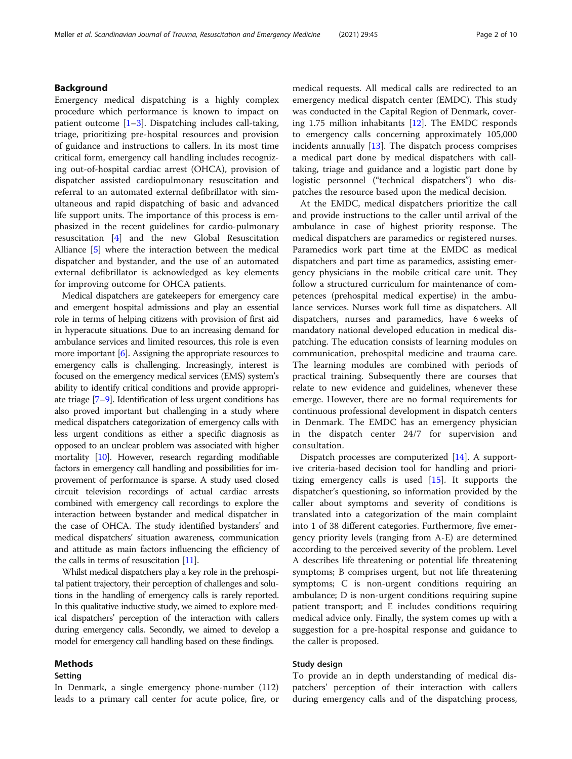# Background

Emergency medical dispatching is a highly complex procedure which performance is known to impact on patient outcome  $[1-3]$  $[1-3]$  $[1-3]$  $[1-3]$ . Dispatching includes call-taking, triage, prioritizing pre-hospital resources and provision of guidance and instructions to callers. In its most time critical form, emergency call handling includes recognizing out-of-hospital cardiac arrest (OHCA), provision of dispatcher assisted cardiopulmonary resuscitation and referral to an automated external defibrillator with simultaneous and rapid dispatching of basic and advanced life support units. The importance of this process is emphasized in the recent guidelines for cardio-pulmonary resuscitation [\[4](#page-9-0)] and the new Global Resuscitation Alliance [\[5](#page-9-0)] where the interaction between the medical dispatcher and bystander, and the use of an automated external defibrillator is acknowledged as key elements for improving outcome for OHCA patients.

Medical dispatchers are gatekeepers for emergency care and emergent hospital admissions and play an essential role in terms of helping citizens with provision of first aid in hyperacute situations. Due to an increasing demand for ambulance services and limited resources, this role is even more important  $[6]$  $[6]$ . Assigning the appropriate resources to emergency calls is challenging. Increasingly, interest is focused on the emergency medical services (EMS) system's ability to identify critical conditions and provide appropriate triage [\[7](#page-9-0)–[9](#page-9-0)]. Identification of less urgent conditions has also proved important but challenging in a study where medical dispatchers categorization of emergency calls with less urgent conditions as either a specific diagnosis as opposed to an unclear problem was associated with higher mortality [[10](#page-9-0)]. However, research regarding modifiable factors in emergency call handling and possibilities for improvement of performance is sparse. A study used closed circuit television recordings of actual cardiac arrests combined with emergency call recordings to explore the interaction between bystander and medical dispatcher in the case of OHCA. The study identified bystanders' and medical dispatchers' situation awareness, communication and attitude as main factors influencing the efficiency of the calls in terms of resuscitation [[11](#page-9-0)].

Whilst medical dispatchers play a key role in the prehospital patient trajectory, their perception of challenges and solutions in the handling of emergency calls is rarely reported. In this qualitative inductive study, we aimed to explore medical dispatchers' perception of the interaction with callers during emergency calls. Secondly, we aimed to develop a model for emergency call handling based on these findings.

# Methods

# Setting

In Denmark, a single emergency phone-number (112) leads to a primary call center for acute police, fire, or medical requests. All medical calls are redirected to an emergency medical dispatch center (EMDC). This study was conducted in the Capital Region of Denmark, covering 1.75 million inhabitants [\[12\]](#page-9-0). The EMDC responds to emergency calls concerning approximately 105,000 incidents annually  $[13]$  $[13]$ . The dispatch process comprises a medical part done by medical dispatchers with calltaking, triage and guidance and a logistic part done by logistic personnel ("technical dispatchers") who dispatches the resource based upon the medical decision.

At the EMDC, medical dispatchers prioritize the call and provide instructions to the caller until arrival of the ambulance in case of highest priority response. The medical dispatchers are paramedics or registered nurses. Paramedics work part time at the EMDC as medical dispatchers and part time as paramedics, assisting emergency physicians in the mobile critical care unit. They follow a structured curriculum for maintenance of competences (prehospital medical expertise) in the ambulance services. Nurses work full time as dispatchers. All dispatchers, nurses and paramedics, have 6 weeks of mandatory national developed education in medical dispatching. The education consists of learning modules on communication, prehospital medicine and trauma care. The learning modules are combined with periods of practical training. Subsequently there are courses that relate to new evidence and guidelines, whenever these emerge. However, there are no formal requirements for continuous professional development in dispatch centers in Denmark. The EMDC has an emergency physician in the dispatch center 24/7 for supervision and consultation.

Dispatch processes are computerized [[14\]](#page-9-0). A supportive criteria-based decision tool for handling and prioritizing emergency calls is used [[15](#page-9-0)]. It supports the dispatcher's questioning, so information provided by the caller about symptoms and severity of conditions is translated into a categorization of the main complaint into 1 of 38 different categories. Furthermore, five emergency priority levels (ranging from A-E) are determined according to the perceived severity of the problem. Level A describes life threatening or potential life threatening symptoms; B comprises urgent, but not life threatening symptoms; C is non-urgent conditions requiring an ambulance; D is non-urgent conditions requiring supine patient transport; and E includes conditions requiring medical advice only. Finally, the system comes up with a suggestion for a pre-hospital response and guidance to the caller is proposed.

# Study design

To provide an in depth understanding of medical dispatchers' perception of their interaction with callers during emergency calls and of the dispatching process,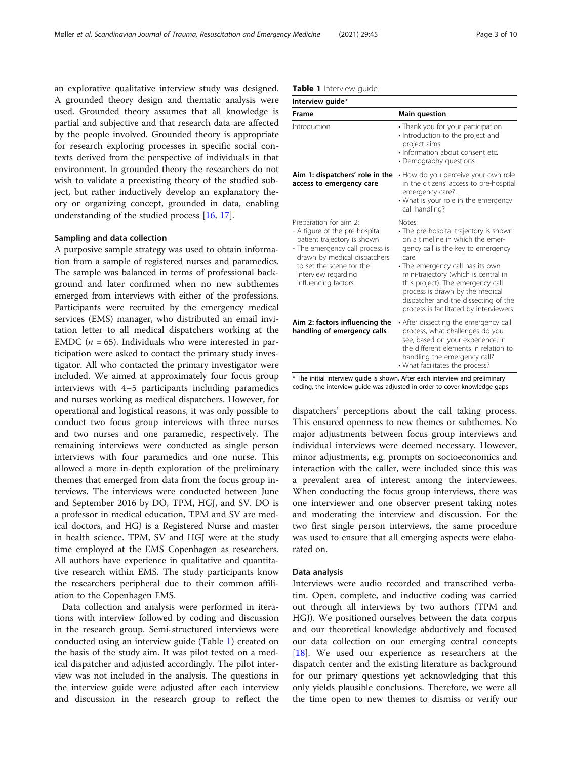an explorative qualitative interview study was designed. A grounded theory design and thematic analysis were used. Grounded theory assumes that all knowledge is partial and subjective and that research data are affected by the people involved. Grounded theory is appropriate for research exploring processes in specific social contexts derived from the perspective of individuals in that environment. In grounded theory the researchers do not wish to validate a preexisting theory of the studied subject, but rather inductively develop an explanatory theory or organizing concept, grounded in data, enabling understanding of the studied process [\[16,](#page-9-0) [17\]](#page-9-0).

# Sampling and data collection

A purposive sample strategy was used to obtain information from a sample of registered nurses and paramedics. The sample was balanced in terms of professional background and later confirmed when no new subthemes emerged from interviews with either of the professions. Participants were recruited by the emergency medical services (EMS) manager, who distributed an email invitation letter to all medical dispatchers working at the EMDC ( $n = 65$ ). Individuals who were interested in participation were asked to contact the primary study investigator. All who contacted the primary investigator were included. We aimed at approximately four focus group interviews with 4–5 participants including paramedics and nurses working as medical dispatchers. However, for operational and logistical reasons, it was only possible to conduct two focus group interviews with three nurses and two nurses and one paramedic, respectively. The remaining interviews were conducted as single person interviews with four paramedics and one nurse. This allowed a more in-depth exploration of the preliminary themes that emerged from data from the focus group interviews. The interviews were conducted between June and September 2016 by DO, TPM, HGJ, and SV. DO is a professor in medical education, TPM and SV are medical doctors, and HGJ is a Registered Nurse and master in health science. TPM, SV and HGJ were at the study time employed at the EMS Copenhagen as researchers. All authors have experience in qualitative and quantitative research within EMS. The study participants know the researchers peripheral due to their common affiliation to the Copenhagen EMS.

Data collection and analysis were performed in iterations with interview followed by coding and discussion in the research group. Semi-structured interviews were conducted using an interview guide (Table 1) created on the basis of the study aim. It was pilot tested on a medical dispatcher and adjusted accordingly. The pilot interview was not included in the analysis. The questions in the interview guide were adjusted after each interview and discussion in the research group to reflect the

|  | Table 1 Interview quide |  |
|--|-------------------------|--|
|--|-------------------------|--|

| Interview guide*                                                                                                                                                                                                                     |                                                                                                                                                                                                                                                                                                                                                                          |
|--------------------------------------------------------------------------------------------------------------------------------------------------------------------------------------------------------------------------------------|--------------------------------------------------------------------------------------------------------------------------------------------------------------------------------------------------------------------------------------------------------------------------------------------------------------------------------------------------------------------------|
| Frame                                                                                                                                                                                                                                | <b>Main question</b>                                                                                                                                                                                                                                                                                                                                                     |
| Introduction                                                                                                                                                                                                                         | • Thank you for your participation<br>· Introduction to the project and<br>project aims<br>· Information about consent etc.<br>• Demography questions                                                                                                                                                                                                                    |
| Aim 1: dispatchers' role in the<br>access to emergency care                                                                                                                                                                          | • How do you perceive your own role<br>in the citizens' access to pre-hospital<br>emergency care?<br>• What is your role in the emergency<br>call handling?                                                                                                                                                                                                              |
| Preparation for aim 2:<br>- A figure of the pre-hospital<br>patient trajectory is shown<br>- The emergency call process is<br>drawn by medical dispatchers<br>to set the scene for the<br>interview regarding<br>influencing factors | Notes:<br>· The pre-hospital trajectory is shown<br>on a timeline in which the emer-<br>gency call is the key to emergency<br>care<br>• The emergency call has its own<br>mini-trajectory (which is central in<br>this project). The emergency call<br>process is drawn by the medical<br>dispatcher and the dissecting of the<br>process is facilitated by interviewers |
| Aim 2: factors influencing the<br>handling of emergency calls                                                                                                                                                                        | • After dissecting the emergency call<br>process, what challenges do you<br>see, based on your experience, in<br>the different elements in relation to<br>handling the emergency call?<br>• What facilitates the process?                                                                                                                                                |

\* The initial interview guide is shown. After each interview and preliminary coding, the interview guide was adjusted in order to cover knowledge gaps

dispatchers' perceptions about the call taking process. This ensured openness to new themes or subthemes. No major adjustments between focus group interviews and individual interviews were deemed necessary. However, minor adjustments, e.g. prompts on socioeconomics and interaction with the caller, were included since this was a prevalent area of interest among the interviewees. When conducting the focus group interviews, there was one interviewer and one observer present taking notes and moderating the interview and discussion. For the two first single person interviews, the same procedure was used to ensure that all emerging aspects were elaborated on.

#### Data analysis

Interviews were audio recorded and transcribed verbatim. Open, complete, and inductive coding was carried out through all interviews by two authors (TPM and HGJ). We positioned ourselves between the data corpus and our theoretical knowledge abductively and focused our data collection on our emerging central concepts [[18\]](#page-9-0). We used our experience as researchers at the dispatch center and the existing literature as background for our primary questions yet acknowledging that this only yields plausible conclusions. Therefore, we were all the time open to new themes to dismiss or verify our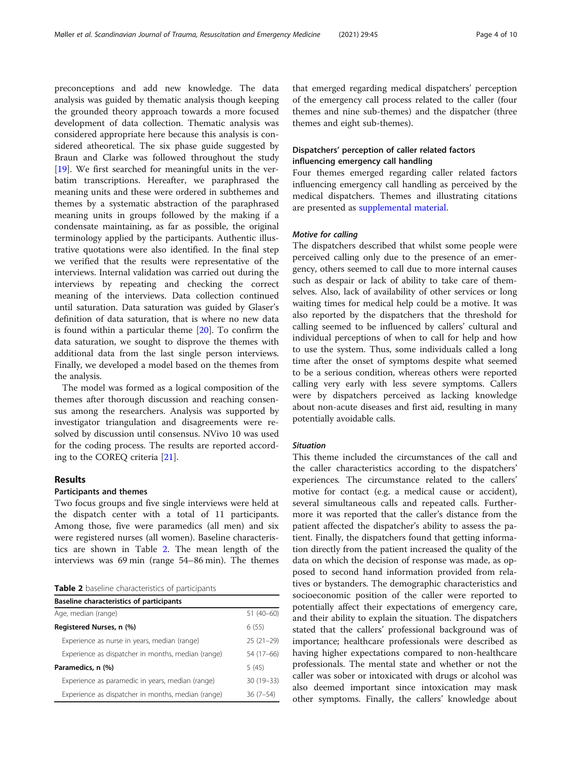preconceptions and add new knowledge. The data analysis was guided by thematic analysis though keeping the grounded theory approach towards a more focused development of data collection. Thematic analysis was considered appropriate here because this analysis is considered atheoretical. The six phase guide suggested by Braun and Clarke was followed throughout the study [[19\]](#page-9-0). We first searched for meaningful units in the verbatim transcriptions. Hereafter, we paraphrased the meaning units and these were ordered in subthemes and themes by a systematic abstraction of the paraphrased meaning units in groups followed by the making if a condensate maintaining, as far as possible, the original terminology applied by the participants. Authentic illustrative quotations were also identified. In the final step we verified that the results were representative of the interviews. Internal validation was carried out during the interviews by repeating and checking the correct meaning of the interviews. Data collection continued until saturation. Data saturation was guided by Glaser's definition of data saturation, that is where no new data is found within a particular theme [\[20](#page-9-0)]. To confirm the data saturation, we sought to disprove the themes with additional data from the last single person interviews. Finally, we developed a model based on the themes from the analysis.

The model was formed as a logical composition of the themes after thorough discussion and reaching consensus among the researchers. Analysis was supported by investigator triangulation and disagreements were resolved by discussion until consensus. NVivo 10 was used for the coding process. The results are reported according to the COREQ criteria [[21\]](#page-9-0).

# Results

# Participants and themes

Two focus groups and five single interviews were held at the dispatch center with a total of 11 participants. Among those, five were paramedics (all men) and six were registered nurses (all women). Baseline characteristics are shown in Table 2. The mean length of the interviews was 69 min (range 54–86 min). The themes

**Table 2** baseline characteristics of participants

| <b>Baseline characteristics of participants</b>    |               |
|----------------------------------------------------|---------------|
| Age, median (range)                                | $51(40-60)$   |
| Registered Nurses, n (%)                           | 6(55)         |
| Experience as nurse in years, median (range)       | $25(21-29)$   |
| Experience as dispatcher in months, median (range) | 54 (17–66)    |
| Paramedics, n (%)                                  | 5 (45)        |
| Experience as paramedic in years, median (range)   | $30(19 - 33)$ |
| Experience as dispatcher in months, median (range) | $36(7-54)$    |

that emerged regarding medical dispatchers' perception of the emergency call process related to the caller (four themes and nine sub-themes) and the dispatcher (three themes and eight sub-themes).

# Dispatchers' perception of caller related factors influencing emergency call handling

Four themes emerged regarding caller related factors influencing emergency call handling as perceived by the medical dispatchers. Themes and illustrating citations are presented as [supplemental material.](#page-8-0)

The dispatchers described that whilst some people were perceived calling only due to the presence of an emergency, others seemed to call due to more internal causes such as despair or lack of ability to take care of themselves. Also, lack of availability of other services or long waiting times for medical help could be a motive. It was also reported by the dispatchers that the threshold for calling seemed to be influenced by callers' cultural and individual perceptions of when to call for help and how to use the system. Thus, some individuals called a long time after the onset of symptoms despite what seemed to be a serious condition, whereas others were reported calling very early with less severe symptoms. Callers were by dispatchers perceived as lacking knowledge about non-acute diseases and first aid, resulting in many potentially avoidable calls.

# **Situation**

This theme included the circumstances of the call and the caller characteristics according to the dispatchers' experiences. The circumstance related to the callers' motive for contact (e.g. a medical cause or accident), several simultaneous calls and repeated calls. Furthermore it was reported that the caller's distance from the patient affected the dispatcher's ability to assess the patient. Finally, the dispatchers found that getting information directly from the patient increased the quality of the data on which the decision of response was made, as opposed to second hand information provided from relatives or bystanders. The demographic characteristics and socioeconomic position of the caller were reported to potentially affect their expectations of emergency care, and their ability to explain the situation. The dispatchers stated that the callers' professional background was of importance; healthcare professionals were described as having higher expectations compared to non-healthcare professionals. The mental state and whether or not the caller was sober or intoxicated with drugs or alcohol was also deemed important since intoxication may mask other symptoms. Finally, the callers' knowledge about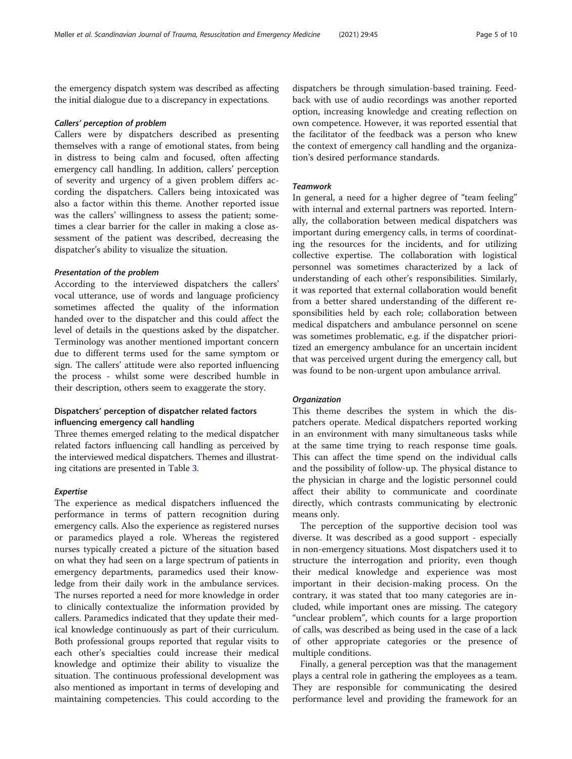the emergency dispatch system was described as affecting the initial dialogue due to a discrepancy in expectations.

### Callers' perception of problem

Callers were by dispatchers described as presenting themselves with a range of emotional states, from being in distress to being calm and focused, often affecting emergency call handling. In addition, callers' perception of severity and urgency of a given problem differs according the dispatchers. Callers being intoxicated was also a factor within this theme. Another reported issue was the callers' willingness to assess the patient; sometimes a clear barrier for the caller in making a close assessment of the patient was described, decreasing the dispatcher's ability to visualize the situation.

According to the interviewed dispatchers the callers' vocal utterance, use of words and language proficiency sometimes affected the quality of the information handed over to the dispatcher and this could affect the level of details in the questions asked by the dispatcher. Terminology was another mentioned important concern due to different terms used for the same symptom or sign. The callers' attitude were also reported influencing the process - whilst some were described humble in their description, others seem to exaggerate the story.

# Dispatchers' perception of dispatcher related factors influencing emergency call handling

Three themes emerged relating to the medical dispatcher related factors influencing call handling as perceived by the interviewed medical dispatchers. Themes and illustrating citations are presented in Table [3](#page-5-0).

# Expertise

The experience as medical dispatchers influenced the performance in terms of pattern recognition during emergency calls. Also the experience as registered nurses or paramedics played a role. Whereas the registered nurses typically created a picture of the situation based on what they had seen on a large spectrum of patients in emergency departments, paramedics used their knowledge from their daily work in the ambulance services. The nurses reported a need for more knowledge in order to clinically contextualize the information provided by callers. Paramedics indicated that they update their medical knowledge continuously as part of their curriculum. Both professional groups reported that regular visits to each other's specialties could increase their medical knowledge and optimize their ability to visualize the situation. The continuous professional development was also mentioned as important in terms of developing and maintaining competencies. This could according to the

dispatchers be through simulation-based training. Feedback with use of audio recordings was another reported option, increasing knowledge and creating reflection on own competence. However, it was reported essential that the facilitator of the feedback was a person who knew the context of emergency call handling and the organization's desired performance standards.

### Teamwork

In general, a need for a higher degree of "team feeling" with internal and external partners was reported. Internally, the collaboration between medical dispatchers was important during emergency calls, in terms of coordinating the resources for the incidents, and for utilizing collective expertise. The collaboration with logistical personnel was sometimes characterized by a lack of understanding of each other's responsibilities. Similarly, it was reported that external collaboration would benefit from a better shared understanding of the different responsibilities held by each role; collaboration between medical dispatchers and ambulance personnel on scene was sometimes problematic, e.g. if the dispatcher prioritized an emergency ambulance for an uncertain incident that was perceived urgent during the emergency call, but was found to be non-urgent upon ambulance arrival.

This theme describes the system in which the dispatchers operate. Medical dispatchers reported working in an environment with many simultaneous tasks while at the same time trying to reach response time goals. This can affect the time spend on the individual calls and the possibility of follow-up. The physical distance to the physician in charge and the logistic personnel could affect their ability to communicate and coordinate directly, which contrasts communicating by electronic means only.

The perception of the supportive decision tool was diverse. It was described as a good support - especially in non-emergency situations. Most dispatchers used it to structure the interrogation and priority, even though their medical knowledge and experience was most important in their decision-making process. On the contrary, it was stated that too many categories are included, while important ones are missing. The category "unclear problem", which counts for a large proportion of calls, was described as being used in the case of a lack of other appropriate categories or the presence of multiple conditions.

Finally, a general perception was that the management plays a central role in gathering the employees as a team. They are responsible for communicating the desired performance level and providing the framework for an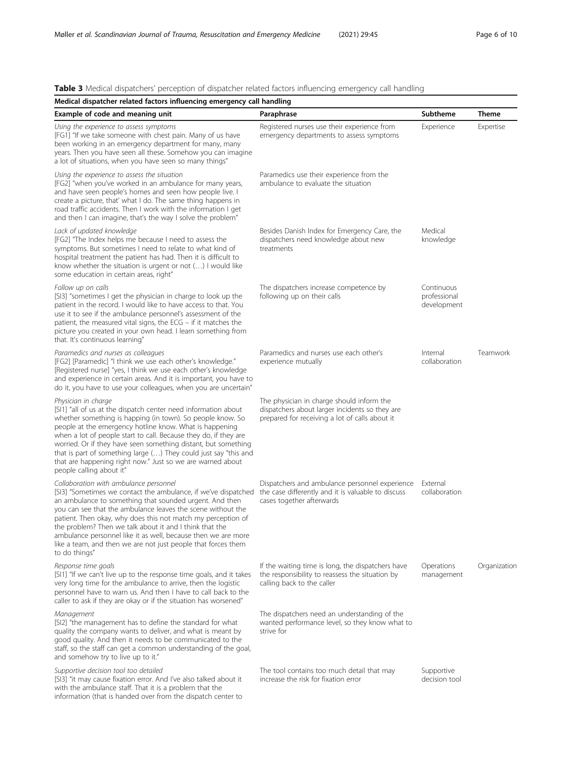# <span id="page-5-0"></span>Table 3 Medical dispatchers' perception of dispatcher related factors influencing emergency call handling

| Medical dispatcher related factors influencing emergency call handling                                                                                                                                                                                                                                                                                                                                                                                                                                             |                                                                                                                                               |                                           |              |  |  |
|--------------------------------------------------------------------------------------------------------------------------------------------------------------------------------------------------------------------------------------------------------------------------------------------------------------------------------------------------------------------------------------------------------------------------------------------------------------------------------------------------------------------|-----------------------------------------------------------------------------------------------------------------------------------------------|-------------------------------------------|--------------|--|--|
| Example of code and meaning unit                                                                                                                                                                                                                                                                                                                                                                                                                                                                                   | Paraphrase                                                                                                                                    | Subtheme                                  | <b>Theme</b> |  |  |
| Using the experience to assess symptoms<br>[FG1] "If we take someone with chest pain. Many of us have<br>been working in an emergency department for many, many<br>years. Then you have seen all these. Somehow you can imagine<br>a lot of situations, when you have seen so many things"                                                                                                                                                                                                                         | Registered nurses use their experience from<br>emergency departments to assess symptoms                                                       | Experience                                | Expertise    |  |  |
| Using the experience to assess the situation<br>[FG2] "when you've worked in an ambulance for many years,<br>and have seen people's homes and seen how people live. I<br>create a picture, that' what I do. The same thing happens in<br>road traffic accidents. Then I work with the information I get<br>and then I can imagine, that's the way I solve the problem"                                                                                                                                             | Paramedics use their experience from the<br>ambulance to evaluate the situation                                                               |                                           |              |  |  |
| Lack of updated knowledge<br>[FG2] "The Index helps me because I need to assess the<br>symptoms. But sometimes I need to relate to what kind of<br>hospital treatment the patient has had. Then it is difficult to<br>know whether the situation is urgent or not $()$ I would like<br>some education in certain areas, right"                                                                                                                                                                                     | Besides Danish Index for Emergency Care, the<br>dispatchers need knowledge about new<br>treatments                                            | Medical<br>knowledge                      |              |  |  |
| Follow up on calls<br>[SI3] "sometimes I get the physician in charge to look up the<br>patient in the record. I would like to have access to that. You<br>use it to see if the ambulance personnel's assessment of the<br>patient, the measured vital signs, the ECG - if it matches the<br>picture you created in your own head. I learn something from<br>that. It's continuous learning"                                                                                                                        | The dispatchers increase competence by<br>following up on their calls                                                                         | Continuous<br>professional<br>development |              |  |  |
| Paramedics and nurses as colleagues<br>[FG2] [Paramedic] "I think we use each other's knowledge."<br>[Registered nurse] "yes, I think we use each other's knowledge<br>and experience in certain areas. And it is important, you have to<br>do it, you have to use your colleagues, when you are uncertain"                                                                                                                                                                                                        | Paramedics and nurses use each other's<br>experience mutually                                                                                 | Internal<br>collaboration                 | Teamwork     |  |  |
| Physician in charge<br>[SI1] "all of us at the dispatch center need information about<br>whether something is happing (in town). So people know. So<br>people at the emergency hotline know. What is happening<br>when a lot of people start to call. Because they do, if they are<br>worried. Or if they have seen something distant, but something<br>that is part of something large () They could just say "this and<br>that are happening right now." Just so we are warned about<br>people calling about it" | The physician in charge should inform the<br>dispatchers about larger incidents so they are<br>prepared for receiving a lot of calls about it |                                           |              |  |  |
| Collaboration with ambulance personnel<br>[SI3] "Sometimes we contact the ambulance, if we've dispatched<br>an ambulance to something that sounded urgent. And then<br>you can see that the ambulance leaves the scene without the<br>patient. Then okay, why does this not match my perception of<br>the problem? Then we talk about it and I think that the<br>ambulance personnel like it as well, because then we are more<br>like a team, and then we are not just people that forces them<br>to do things"   | Dispatchers and ambulance personnel experience<br>the case differently and it is valuable to discuss<br>cases together afterwards             | External<br>collaboration                 |              |  |  |
| Response time goals<br>[SI1] "If we can't live up to the response time goals, and it takes<br>very long time for the ambulance to arrive, then the logistic<br>personnel have to warn us. And then I have to call back to the<br>caller to ask if they are okay or if the situation has worsened"                                                                                                                                                                                                                  | If the waiting time is long, the dispatchers have<br>the responsibility to reassess the situation by<br>calling back to the caller            | Operations<br>management                  | Organization |  |  |
| Management<br>[SI2] "the management has to define the standard for what<br>quality the company wants to deliver, and what is meant by<br>good quality. And then it needs to be communicated to the<br>staff, so the staff can get a common understanding of the goal,<br>and somehow try to live up to it."                                                                                                                                                                                                        | The dispatchers need an understanding of the<br>wanted performance level, so they know what to<br>strive for                                  |                                           |              |  |  |
| Supportive decision tool too detailed<br>[SI3] "it may cause fixation error. And I've also talked about it<br>with the ambulance staff. That it is a problem that the<br>information (that is handed over from the dispatch center to                                                                                                                                                                                                                                                                              | The tool contains too much detail that may<br>increase the risk for fixation error                                                            | Supportive<br>decision tool               |              |  |  |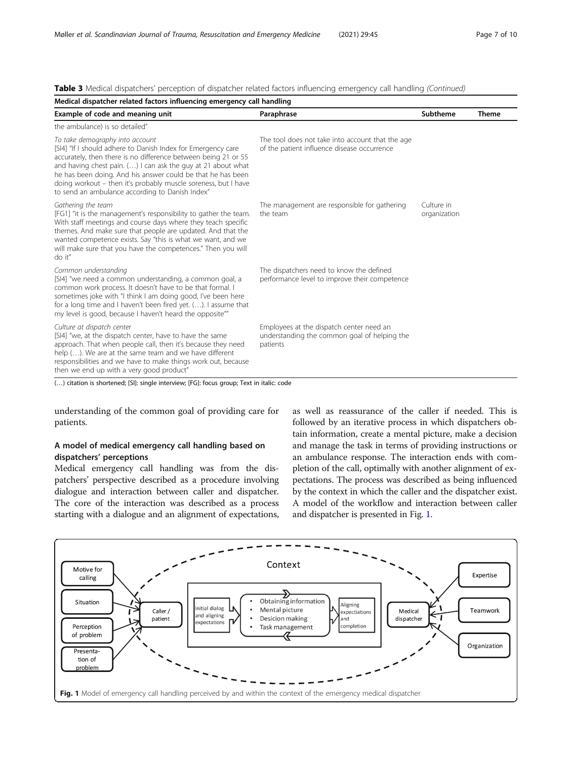| Medical dispatcher related factors influencing emergency call handling                                                                                                                                                                                                                                                                                                                                                |                                                                                                      |                            |              |  |
|-----------------------------------------------------------------------------------------------------------------------------------------------------------------------------------------------------------------------------------------------------------------------------------------------------------------------------------------------------------------------------------------------------------------------|------------------------------------------------------------------------------------------------------|----------------------------|--------------|--|
| Example of code and meaning unit                                                                                                                                                                                                                                                                                                                                                                                      | Paraphrase                                                                                           | Subtheme                   | <b>Theme</b> |  |
| the ambulance) is so detailed"                                                                                                                                                                                                                                                                                                                                                                                        |                                                                                                      |                            |              |  |
| To take demography into account<br>[SI4] "If I should adhere to Danish Index for Emergency care<br>accurately, then there is no difference between being 21 or 55<br>and having chest pain. () I can ask the guy at 21 about what<br>he has been doing. And his answer could be that he has been<br>doing workout - then it's probably muscle soreness, but I have<br>to send an ambulance according to Danish Index" | The tool does not take into account that the age<br>of the patient influence disease occurrence      |                            |              |  |
| Gathering the team<br>[FG1] "it is the management's responsibility to gather the team.<br>With staff meetings and course days where they teach specific<br>themes. And make sure that people are updated. And that the<br>wanted competence exists. Say "this is what we want, and we<br>will make sure that you have the competences." Then you will<br>do it"                                                       | The management are responsible for gathering<br>the team                                             | Culture in<br>organization |              |  |
| Common understanding<br>[SI4] "we need a common understanding, a common goal, a<br>common work process. It doesn't have to be that formal. I<br>sometimes joke with "I think I am doing good, I've been here<br>for a long time and I haven't been fired yet. (). I assume that<br>my level is good, because I haven't heard the opposite""                                                                           | The dispatchers need to know the defined<br>performance level to improve their competence            |                            |              |  |
| Culture at dispatch center<br>[SI4] "we, at the dispatch center, have to have the same<br>approach. That when people call, then it's because they need<br>help (). We are at the same team and we have different<br>responsibilities and we have to make things work out, because<br>then we end up with a very good product"                                                                                         | Employees at the dispatch center need an<br>understanding the common goal of helping the<br>patients |                            |              |  |

Table 3 Medical dispatchers' perception of dispatcher related factors influencing emergency call handling (Continued)

(…) citation is shortened; [SI]: single interview; [FG]: focus group; Text in italic: code

understanding of the common goal of providing care for patients.

# A model of medical emergency call handling based on dispatchers' perceptions

Medical emergency call handling was from the dispatchers' perspective described as a procedure involving dialogue and interaction between caller and dispatcher. The core of the interaction was described as a process starting with a dialogue and an alignment of expectations,

as well as reassurance of the caller if needed. This is followed by an iterative process in which dispatchers obtain information, create a mental picture, make a decision and manage the task in terms of providing instructions or an ambulance response. The interaction ends with completion of the call, optimally with another alignment of expectations. The process was described as being influenced by the context in which the caller and the dispatcher exist. A model of the workflow and interaction between caller and dispatcher is presented in Fig. 1.

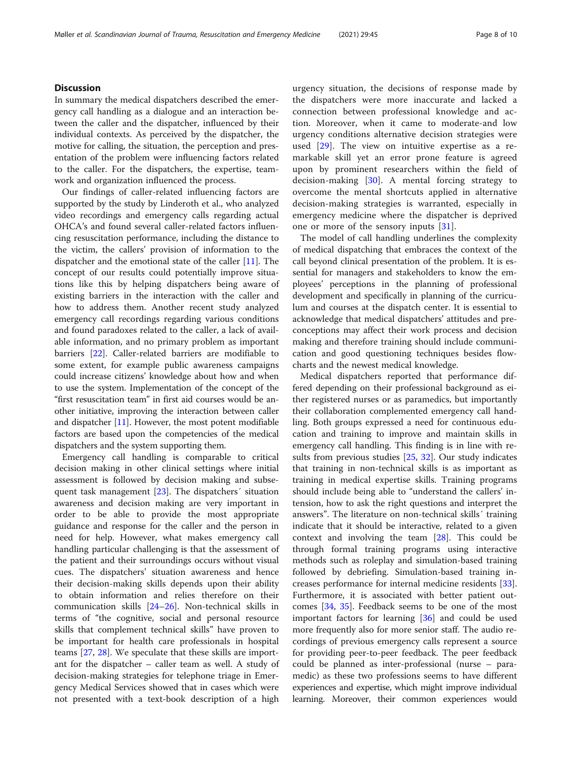# **Discussion**

In summary the medical dispatchers described the emergency call handling as a dialogue and an interaction between the caller and the dispatcher, influenced by their individual contexts. As perceived by the dispatcher, the motive for calling, the situation, the perception and presentation of the problem were influencing factors related to the caller. For the dispatchers, the expertise, teamwork and organization influenced the process.

Our findings of caller-related influencing factors are supported by the study by Linderoth et al., who analyzed video recordings and emergency calls regarding actual OHCA's and found several caller-related factors influencing resuscitation performance, including the distance to the victim, the callers' provision of information to the dispatcher and the emotional state of the caller [\[11](#page-9-0)]. The concept of our results could potentially improve situations like this by helping dispatchers being aware of existing barriers in the interaction with the caller and how to address them. Another recent study analyzed emergency call recordings regarding various conditions and found paradoxes related to the caller, a lack of available information, and no primary problem as important barriers [[22\]](#page-9-0). Caller-related barriers are modifiable to some extent, for example public awareness campaigns could increase citizens' knowledge about how and when to use the system. Implementation of the concept of the "first resuscitation team" in first aid courses would be another initiative, improving the interaction between caller and dispatcher  $[11]$  $[11]$ . However, the most potent modifiable factors are based upon the competencies of the medical dispatchers and the system supporting them.

Emergency call handling is comparable to critical decision making in other clinical settings where initial assessment is followed by decision making and subsequent task management [\[23\]](#page-9-0). The dispatchers´ situation awareness and decision making are very important in order to be able to provide the most appropriate guidance and response for the caller and the person in need for help. However, what makes emergency call handling particular challenging is that the assessment of the patient and their surroundings occurs without visual cues. The dispatchers' situation awareness and hence their decision-making skills depends upon their ability to obtain information and relies therefore on their communication skills [[24](#page-9-0)–[26](#page-9-0)]. Non-technical skills in terms of "the cognitive, social and personal resource skills that complement technical skills" have proven to be important for health care professionals in hospital teams [[27,](#page-9-0) [28](#page-9-0)]. We speculate that these skills are important for the dispatcher – caller team as well. A study of decision-making strategies for telephone triage in Emergency Medical Services showed that in cases which were not presented with a text-book description of a high

urgency situation, the decisions of response made by the dispatchers were more inaccurate and lacked a connection between professional knowledge and action. Moreover, when it came to moderate-and low urgency conditions alternative decision strategies were used [[29](#page-9-0)]. The view on intuitive expertise as a remarkable skill yet an error prone feature is agreed upon by prominent researchers within the field of decision-making [\[30](#page-9-0)]. A mental forcing strategy to overcome the mental shortcuts applied in alternative decision-making strategies is warranted, especially in emergency medicine where the dispatcher is deprived one or more of the sensory inputs [[31\]](#page-9-0).

The model of call handling underlines the complexity of medical dispatching that embraces the context of the call beyond clinical presentation of the problem. It is essential for managers and stakeholders to know the employees' perceptions in the planning of professional development and specifically in planning of the curriculum and courses at the dispatch center. It is essential to acknowledge that medical dispatchers' attitudes and preconceptions may affect their work process and decision making and therefore training should include communication and good questioning techniques besides flowcharts and the newest medical knowledge.

Medical dispatchers reported that performance differed depending on their professional background as either registered nurses or as paramedics, but importantly their collaboration complemented emergency call handling. Both groups expressed a need for continuous education and training to improve and maintain skills in emergency call handling. This finding is in line with results from previous studies [\[25,](#page-9-0) [32](#page-9-0)]. Our study indicates that training in non-technical skills is as important as training in medical expertise skills. Training programs should include being able to "understand the callers' intension, how to ask the right questions and interpret the answers". The literature on non-technical skills´ training indicate that it should be interactive, related to a given context and involving the team [[28](#page-9-0)]. This could be through formal training programs using interactive methods such as roleplay and simulation-based training followed by debriefing. Simulation-based training increases performance for internal medicine residents [\[33](#page-9-0)]. Furthermore, it is associated with better patient outcomes [[34,](#page-9-0) [35\]](#page-9-0). Feedback seems to be one of the most important factors for learning [\[36](#page-9-0)] and could be used more frequently also for more senior staff. The audio recordings of previous emergency calls represent a source for providing peer-to-peer feedback. The peer feedback could be planned as inter-professional (nurse – paramedic) as these two professions seems to have different experiences and expertise, which might improve individual learning. Moreover, their common experiences would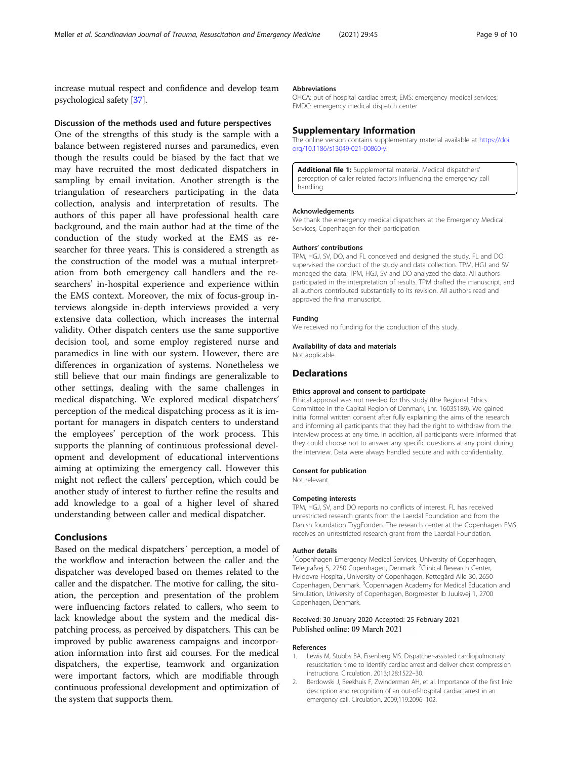<span id="page-8-0"></span>increase mutual respect and confidence and develop team psychological safety [\[37](#page-9-0)].

### Discussion of the methods used and future perspectives

One of the strengths of this study is the sample with a balance between registered nurses and paramedics, even though the results could be biased by the fact that we may have recruited the most dedicated dispatchers in sampling by email invitation. Another strength is the triangulation of researchers participating in the data collection, analysis and interpretation of results. The authors of this paper all have professional health care background, and the main author had at the time of the conduction of the study worked at the EMS as researcher for three years. This is considered a strength as the construction of the model was a mutual interpretation from both emergency call handlers and the researchers' in-hospital experience and experience within the EMS context. Moreover, the mix of focus-group interviews alongside in-depth interviews provided a very extensive data collection, which increases the internal validity. Other dispatch centers use the same supportive decision tool, and some employ registered nurse and paramedics in line with our system. However, there are differences in organization of systems. Nonetheless we still believe that our main findings are generalizable to other settings, dealing with the same challenges in medical dispatching. We explored medical dispatchers' perception of the medical dispatching process as it is important for managers in dispatch centers to understand the employees' perception of the work process. This supports the planning of continuous professional development and development of educational interventions aiming at optimizing the emergency call. However this might not reflect the callers' perception, which could be another study of interest to further refine the results and add knowledge to a goal of a higher level of shared understanding between caller and medical dispatcher.

# Conclusions

Based on the medical dispatchers´ perception, a model of the workflow and interaction between the caller and the dispatcher was developed based on themes related to the caller and the dispatcher. The motive for calling, the situation, the perception and presentation of the problem were influencing factors related to callers, who seem to lack knowledge about the system and the medical dispatching process, as perceived by dispatchers. This can be improved by public awareness campaigns and incorporation information into first aid courses. For the medical dispatchers, the expertise, teamwork and organization were important factors, which are modifiable through continuous professional development and optimization of the system that supports them.

#### Abbreviations

OHCA: out of hospital cardiac arrest; EMS: emergency medical services; EMDC: emergency medical dispatch center

### Supplementary Information

The online version contains supplementary material available at [https://doi.](https://doi.org/10.1186/s13049-021-00860-y) [org/10.1186/s13049-021-00860-y](https://doi.org/10.1186/s13049-021-00860-y).

Additional file 1: Supplemental material. Medical dispatchers' perception of caller related factors influencing the emergency call handling.

#### Acknowledgements

We thank the emergency medical dispatchers at the Emergency Medical Services, Copenhagen for their participation.

#### Authors' contributions

TPM, HGJ, SV, DO, and FL conceived and designed the study. FL and DO supervised the conduct of the study and data collection. TPM, HGJ and SV managed the data. TPM, HGJ, SV and DO analyzed the data. All authors participated in the interpretation of results. TPM drafted the manuscript, and all authors contributed substantially to its revision. All authors read and approved the final manuscript.

#### Funding

We received no funding for the conduction of this study.

# Availability of data and materials

Not applicable.

# Declarations

#### Ethics approval and consent to participate

Ethical approval was not needed for this study (the Regional Ethics Committee in the Capital Region of Denmark, j.nr. 16035189). We gained initial formal written consent after fully explaining the aims of the research and informing all participants that they had the right to withdraw from the interview process at any time. In addition, all participants were informed that they could choose not to answer any specific questions at any point during the interview. Data were always handled secure and with confidentiality.

#### Consent for publication

Not relevant.

#### Competing interests

TPM, HGJ, SV, and DO reports no conflicts of interest. FL has received unrestricted research grants from the Laerdal Foundation and from the Danish foundation TrygFonden. The research center at the Copenhagen EMS receives an unrestricted research grant from the Laerdal Foundation.

#### Author details

<sup>1</sup>Copenhagen Emergency Medical Services, University of Copenhagen, Telegrafvej 5, 2750 Copenhagen, Denmark. <sup>2</sup>Clinical Research Center, Hvidovre Hospital, University of Copenhagen, Kettegård Alle 30, 2650 Copenhagen, Denmark. <sup>3</sup> Copenhagen Academy for Medical Education and Simulation, University of Copenhagen, Borgmester Ib Juulsvej 1, 2700 Copenhagen, Denmark.

### Received: 30 January 2020 Accepted: 25 February 2021 Published online: 09 March 2021

### References

- 1. Lewis M, Stubbs BA, Eisenberg MS. Dispatcher-assisted cardiopulmonary resuscitation: time to identify cardiac arrest and deliver chest compression instructions. Circulation. 2013;128:1522–30.
- 2. Berdowski J, Beekhuis F, Zwinderman AH, et al. Importance of the first link: description and recognition of an out-of-hospital cardiac arrest in an emergency call. Circulation. 2009;119:2096–102.